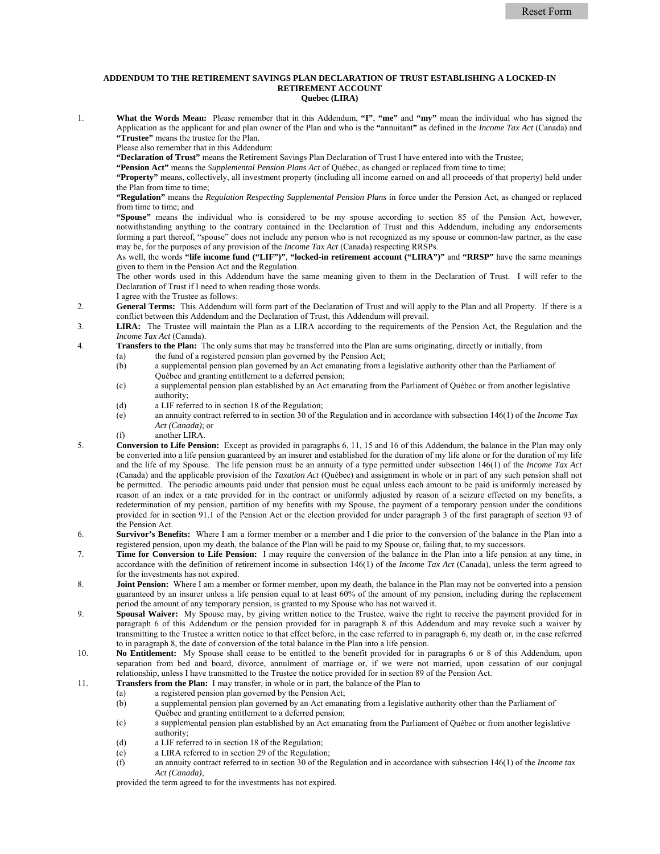## **ADDENDUM TO THE RETIREMENT SAVINGS PLAN DECLARATION OF TRUST ESTABLISHING A LOCKED-IN RETIREMENT ACCOUNT Quebec (LIRA)**

1. **What the Words Mean:** Please remember that in this Addendum, **"I"**, **"me"** and **"my"** mean the individual who has signed the Application as the applicant for and plan owner of the Plan and who is the **"**annuitant**"** as defined in the *Income Tax Act* (Canada) and **"Trustee"** means the trustee for the Plan.

Please also remember that in this Addendum:

**"Declaration of Trust"** means the Retirement Savings Plan Declaration of Trust I have entered into with the Trustee;

**"Pension Act"** means the *Supplemental Pension Plans Act* of Québec, as changed or replaced from time to time;

**"Property"** means, collectively, all investment property (including all income earned on and all proceeds of that property) held under the Plan from time to time;

**"Regulation"** means the *Regulation Respecting Supplemental Pension Plans* in force under the Pension Act, as changed or replaced from time to time; and

**"Spouse"** means the individual who is considered to be my spouse according to section 85 of the Pension Act, however, notwithstanding anything to the contrary contained in the Declaration of Trust and this Addendum, including any endorsements forming a part thereof, "spouse" does not include any person who is not recognized as my spouse or common-law partner, as the case may be, for the purposes of any provision of the *Income Tax Act* (Canada) respecting RRSPs.

As well, the words **"life income fund ("LIF")"**, **"locked-in retirement account ("LIRA")"** and **"RRSP"** have the same meanings given to them in the Pension Act and the Regulation.

The other words used in this Addendum have the same meaning given to them in the Declaration of Trust. I will refer to the Declaration of Trust if I need to when reading those words. I agree with the Trustee as follows:

- 2. **General Terms:** This Addendum will form part of the Declaration of Trust and will apply to the Plan and all Property. If there is a conflict between this Addendum and the Declaration of Trust, this Addendum will prevail.
- 3. **LIRA:** The Trustee will maintain the Plan as a LIRA according to the requirements of the Pension Act, the Regulation and the *Income Tax Act* (Canada).
- 4. **Transfers to the Plan:** The only sums that may be transferred into the Plan are sums originating, directly or initially, from
	- (a) the fund of a registered pension plan governed by the Pension Act;
	- (b) a supplemental pension plan governed by an Act emanating from a legislative authority other than the Parliament of Québec and granting entitlement to a deferred pension;
	- (c) a supplemental pension plan established by an Act emanating from the Parliament of Québec or from another legislative authority;
	- (d) a LIF referred to in section 18 of the Regulation;
	- (e) an annuity contract referred to in section 30 of the Regulation and in accordance with subsection 146(1) of the *Income Tax Act (Canada)*; or
	- (f) another LIRA.
- 5. **Conversion to Life Pension:** Except as provided in paragraphs 6, 11, 15 and 16 of this Addendum, the balance in the Plan may only be converted into a life pension guaranteed by an insurer and established for the duration of my life alone or for the duration of my life and the life of my Spouse. The life pension must be an annuity of a type permitted under subsection 146(1) of the *Income Tax Act* (Canada) and the applicable provision of the *Taxation Act* (Québec) and assignment in whole or in part of any such pension shall not be permitted. The periodic amounts paid under that pension must be equal unless each amount to be paid is uniformly increased by reason of an index or a rate provided for in the contract or uniformly adjusted by reason of a seizure effected on my benefits, a redetermination of my pension, partition of my benefits with my Spouse, the payment of a temporary pension under the conditions provided for in section 91.1 of the Pension Act or the election provided for under paragraph 3 of the first paragraph of section 93 of the Pension Act.
- 6. **Survivor's Benefits:** Where I am a former member or a member and I die prior to the conversion of the balance in the Plan into a registered pension, upon my death, the balance of the Plan will be paid to my Spouse or, failing that, to my successors.
- 7. **Time for Conversion to Life Pension:** I may require the conversion of the balance in the Plan into a life pension at any time, in accordance with the definition of retirement income in subsection 146(1) of the *Income Tax Act* (Canada), unless the term agreed to for the investments has not expired.
- 8. **Joint Pension:** Where I am a member or former member, upon my death, the balance in the Plan may not be converted into a pension guaranteed by an insurer unless a life pension equal to at least 60% of the amount of my pension, including during the replacement period the amount of any temporary pension, is granted to my Spouse who has not waived it.
- 9. **Spousal Waiver:** My Spouse may, by giving written notice to the Trustee, waive the right to receive the payment provided for in paragraph 6 of this Addendum or the pension provided for in paragraph 8 of this Addendum and may revoke such a waiver by transmitting to the Trustee a written notice to that effect before, in the case referred to in paragraph 6, my death or, in the case referred to in paragraph 8, the date of conversion of the total balance in the Plan into a life pension.
- 10. **No Entitlement:** My Spouse shall cease to be entitled to the benefit provided for in paragraphs 6 or 8 of this Addendum, upon separation from bed and board, divorce, annulment of marriage or, if we were not married, upon cessation of our conjugal relationship, unless I have transmitted to the Trustee the notice provided for in section 89 of the Pension Act.
- 11. **Transfers from the Plan:** I may transfer, in whole or in part, the balance of the Plan to
	- (a) a registered pension plan governed by the Pension Act;
	- (b) a supplemental pension plan governed by an Act emanating from a legislative authority other than the Parliament of Québec and granting entitlement to a deferred pension;
	- (c) a supplemental pension plan established by an Act emanating from the Parliament of Québec or from another legislative authority;
	- (d) a LIF referred to in section 18 of the Regulation;
	- (e) a LIRA referred to in section 29 of the Regulation;
	- (f) an annuity contract referred to in section 30 of the Regulation and in accordance with subsection 146(1) of the *Income tax Act (Canada)*,

provided the term agreed to for the investments has not expired.